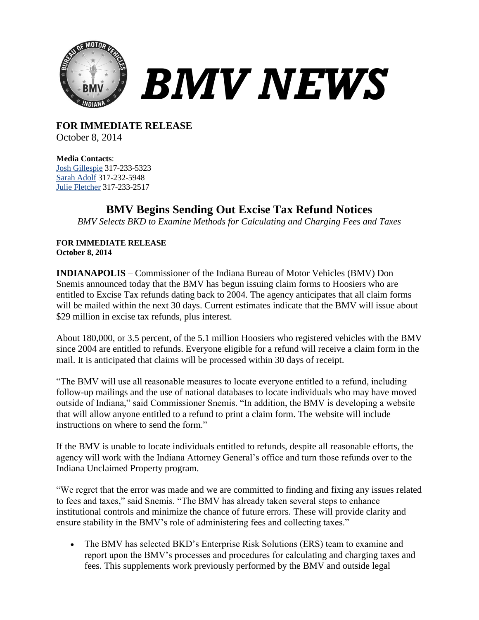

*BMV NEWS*

**FOR IMMEDIATE RELEASE** October 8, 2014

**Media Contacts**: [Josh Gillespie](mailto:jogillespie@bmv.in.gov) 317-233-5323 [Sarah Adolf](mailto:saadolf@bmv.in.gov) 317-232-5948 [Julie Fletcher](mailto:jufletcher@bmv.in.gov) 317-233-2517

## **BMV Begins Sending Out Excise Tax Refund Notices**

*BMV Selects BKD to Examine Methods for Calculating and Charging Fees and Taxes*

## **FOR IMMEDIATE RELEASE October 8, 2014**

**INDIANAPOLIS** – Commissioner of the Indiana Bureau of Motor Vehicles (BMV) Don Snemis announced today that the BMV has begun issuing claim forms to Hoosiers who are entitled to Excise Tax refunds dating back to 2004. The agency anticipates that all claim forms will be mailed within the next 30 days. Current estimates indicate that the BMV will issue about \$29 million in excise tax refunds, plus interest.

About 180,000, or 3.5 percent, of the 5.1 million Hoosiers who registered vehicles with the BMV since 2004 are entitled to refunds. Everyone eligible for a refund will receive a claim form in the mail. It is anticipated that claims will be processed within 30 days of receipt.

"The BMV will use all reasonable measures to locate everyone entitled to a refund, including follow-up mailings and the use of national databases to locate individuals who may have moved outside of Indiana," said Commissioner Snemis. "In addition, the BMV is developing a website that will allow anyone entitled to a refund to print a claim form. The website will include instructions on where to send the form."

If the BMV is unable to locate individuals entitled to refunds, despite all reasonable efforts, the agency will work with the Indiana Attorney General's office and turn those refunds over to the Indiana Unclaimed Property program.

"We regret that the error was made and we are committed to finding and fixing any issues related to fees and taxes," said Snemis. "The BMV has already taken several steps to enhance institutional controls and minimize the chance of future errors. These will provide clarity and ensure stability in the BMV's role of administering fees and collecting taxes."

 The BMV has selected BKD's Enterprise Risk Solutions (ERS) team to examine and report upon the BMV's processes and procedures for calculating and charging taxes and fees. This supplements work previously performed by the BMV and outside legal